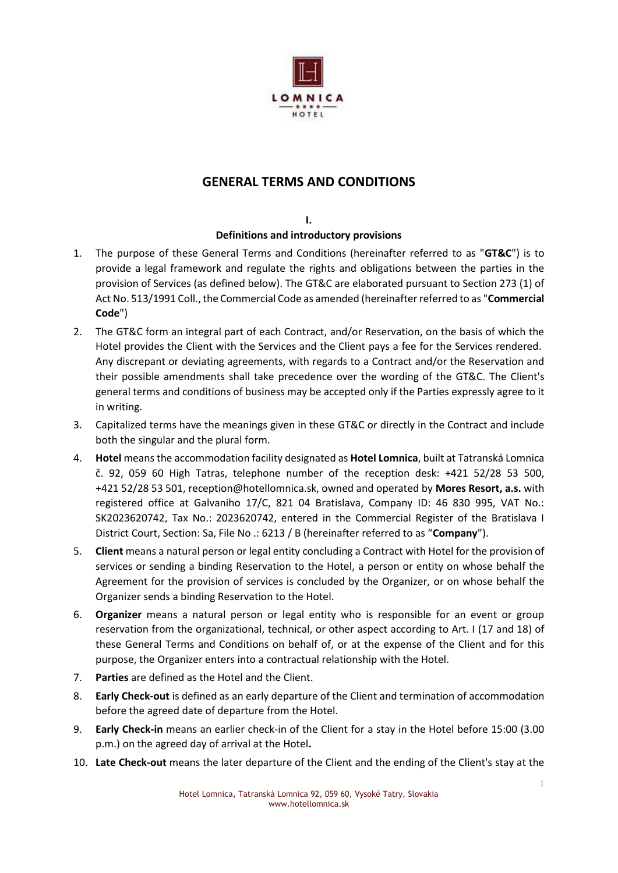

## **GENERAL TERMS AND CONDITIONS**

#### **I. Definitions and introductory provisions**

- 1. The purpose of these General Terms and Conditions (hereinafter referred to as "**GT&C**") is to provide a legal framework and regulate the rights and obligations between the parties in the provision of Services (as defined below). The GT&C are elaborated pursuant to Section 273 (1) of Act No. 513/1991 Coll., the Commercial Code as amended (hereinafter referred to as "**Commercial Code**")
- 2. The GT&C form an integral part of each Contract, and/or Reservation, on the basis of which the Hotel provides the Client with the Services and the Client pays a fee for the Services rendered. Any discrepant or deviating agreements, with regards to a Contract and/or the Reservation and their possible amendments shall take precedence over the wording of the GT&C. The Client's general terms and conditions of business may be accepted only if the Parties expressly agree to it in writing.
- 3. Capitalized terms have the meanings given in these GT&C or directly in the Contract and include both the singular and the plural form.
- 4. **Hotel** means the accommodation facility designated as **Hotel Lomnica**, built at Tatranská Lomnica č. 92, 059 60 High Tatras, telephone number of the reception desk: +421 52/28 53 500, +421 52/28 53 501, reception@hotellomnica.sk, owned and operated by **Mores Resort, a.s.** with registered office at Galvaniho 17/C, 821 04 Bratislava, Company ID: 46 830 995, VAT No.: SK2023620742, Tax No.: 2023620742, entered in the Commercial Register of the Bratislava I District Court, Section: Sa, File No .: 6213 / B (hereinafter referred to as "**Company**").
- 5. **Client** means a natural person or legal entity concluding a Contract with Hotel for the provision of services or sending a binding Reservation to the Hotel, a person or entity on whose behalf the Agreement for the provision of services is concluded by the Organizer, or on whose behalf the Organizer sends a binding Reservation to the Hotel.
- 6. **Organizer** means a natural person or legal entity who is responsible for an event or group reservation from the organizational, technical, or other aspect according to Art. I (17 and 18) of these General Terms and Conditions on behalf of, or at the expense of the Client and for this purpose, the Organizer enters into a contractual relationship with the Hotel.
- 7. **Parties** are defined as the Hotel and the Client.
- 8. **Early Check-out** is defined as an early departure of the Client and termination of accommodation before the agreed date of departure from the Hotel.
- 9. **Early Check-in** means an earlier check-in of the Client for a stay in the Hotel before 15:00 (3.00 p.m.) on the agreed day of arrival at the Hotel**.**
- 10. **Late Check-out** means the later departure of the Client and the ending of the Client's stay at the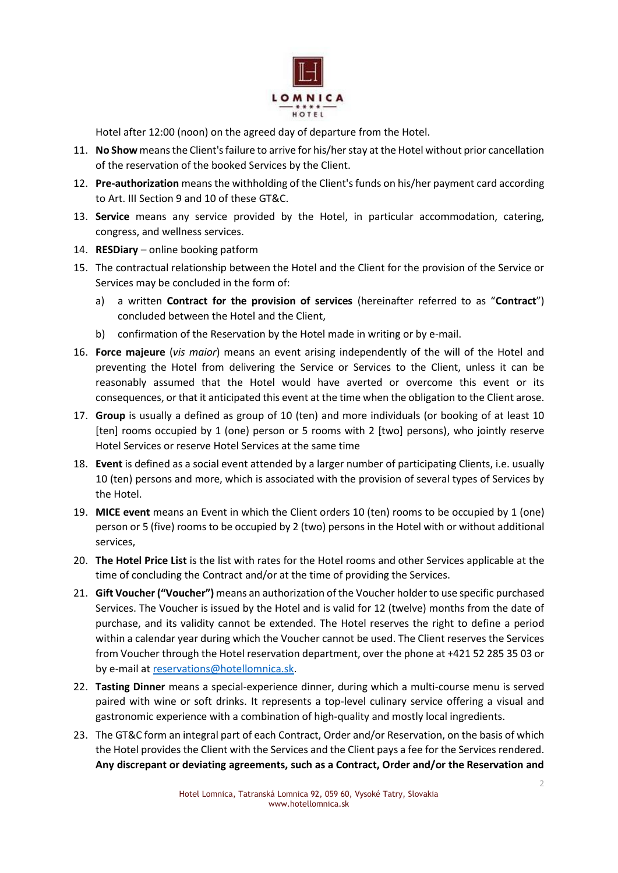

Hotel after 12:00 (noon) on the agreed day of departure from the Hotel.

- 11. **No Show** means the Client's failure to arrive for his/her stay at the Hotel without prior cancellation of the reservation of the booked Services by the Client.
- 12. **Pre-authorization** means the withholding of the Client's funds on his/her payment card according to Art. III Section 9 and 10 of these GT&C.
- 13. **Service** means any service provided by the Hotel, in particular accommodation, catering, congress, and wellness services.
- 14. **RESDiary**  online booking patform
- 15. The contractual relationship between the Hotel and the Client for the provision of the Service or Services may be concluded in the form of:
	- a) a written **Contract for the provision of services** (hereinafter referred to as "**Contract**") concluded between the Hotel and the Client,
	- b) confirmation of the Reservation by the Hotel made in writing or by e-mail.
- 16. **Force majeure** (*vis maior*) means an event arising independently of the will of the Hotel and preventing the Hotel from delivering the Service or Services to the Client, unless it can be reasonably assumed that the Hotel would have averted or overcome this event or its consequences, or that it anticipated this event at the time when the obligation to the Client arose.
- 17. **Group** is usually a defined as group of 10 (ten) and more individuals (or booking of at least 10 [ten] rooms occupied by 1 (one) person or 5 rooms with 2 [two] persons), who jointly reserve Hotel Services or reserve Hotel Services at the same time
- 18. **Event** is defined as a social event attended by a larger number of participating Clients, i.e. usually 10 (ten) persons and more, which is associated with the provision of several types of Services by the Hotel.
- 19. **MICE event** means an Event in which the Client orders 10 (ten) rooms to be occupied by 1 (one) person or 5 (five) rooms to be occupied by 2 (two) persons in the Hotel with or without additional services,
- 20. **The Hotel Price List** is the list with rates for the Hotel rooms and other Services applicable at the time of concluding the Contract and/or at the time of providing the Services.
- 21. **Gift Voucher ("Voucher")** means an authorization of the Voucher holder to use specific purchased Services. The Voucher is issued by the Hotel and is valid for 12 (twelve) months from the date of purchase, and its validity cannot be extended. The Hotel reserves the right to define a period within a calendar year during which the Voucher cannot be used. The Client reserves the Services from Voucher through the Hotel reservation department, over the phone at +421 52 285 35 03 or by e-mail at [reservations@hotellomnica.sk.](mailto:reservations@hotellomnica.sk)
- 22. **Tasting Dinner** means a special-experience dinner, during which a multi-course menu is served paired with wine or soft drinks. It represents a top-level culinary service offering a visual and gastronomic experience with a combination of high-quality and mostly local ingredients.
- 23. The GT&C form an integral part of each Contract, Order and/or Reservation, on the basis of which the Hotel provides the Client with the Services and the Client pays a fee for the Services rendered. **Any discrepant or deviating agreements, such as a Contract, Order and/or the Reservation and**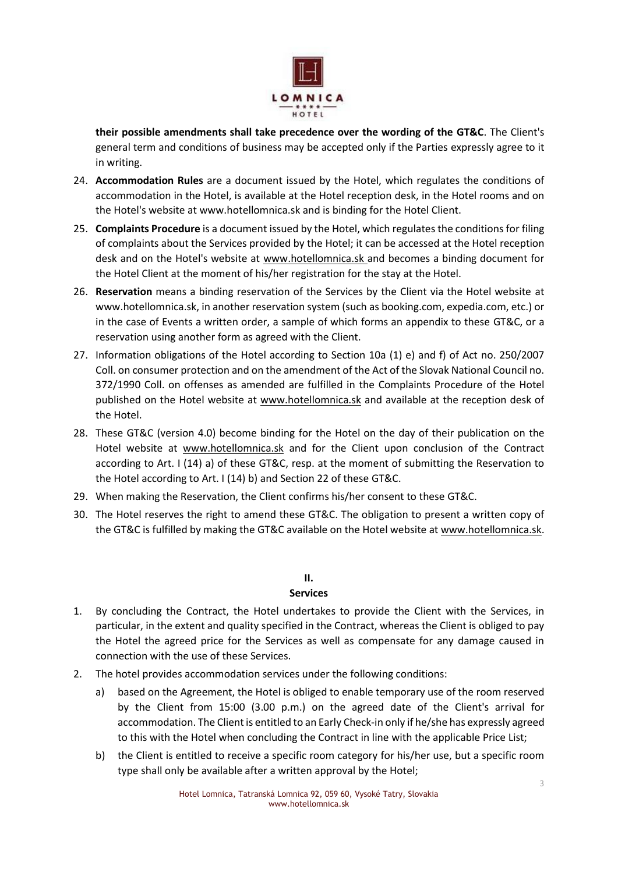

**their possible amendments shall take precedence over the wording of the GT&C**. The Client's general term and conditions of business may be accepted only if the Parties expressly agree to it in writing.

- 24. **Accommodation Rules** are a document issued by the Hotel, which regulates the conditions of accommodation in the Hotel, is available at the Hotel reception desk, in the Hotel rooms and on the Hotel's website at www.hotellomnica.sk and is binding for the Hotel Client.
- 25. **Complaints Procedure** is a document issued by the Hotel, which regulates the conditions for filing of complaints about the Services provided by the Hotel; it can be accessed at the Hotel reception desk and on the Hotel's website at [www.hotellomnica.sk](http://www.hotellomnica.sk/) and becomes a binding document for the Hotel Client at the moment of his/her registration for the stay at the Hotel.
- 26. **Reservation** means a binding reservation of the Services by the Client via the Hotel website at www.hotellomnica.sk, in another reservation system (such as booking.com, expedia.com, etc.) or in the case of Events a written order, a sample of which forms an appendix to these GT&C, or a reservation using another form as agreed with the Client.
- 27. Information obligations of the Hotel according to Section 10a (1) e) and f) of Act no. 250/2007 Coll. on consumer protection and on the amendment of the Act of the Slovak National Council no. 372/1990 Coll. on offenses as amended are fulfilled in the Complaints Procedure of the Hotel published on the Hotel website at [www.hotellomnica.sk](http://www.hotellomnica.sk/) and available at the reception desk of the Hotel.
- 28. These GT&C (version 4.0) become binding for the Hotel on the day of their publication on the Hotel website at [www.hotellomnica.sk](http://www.hotellomnica.sk/) and for the Client upon conclusion of the Contract according to Art. I (14) a) of these GT&C, resp. at the moment of submitting the Reservation to the Hotel according to Art. I (14) b) and Section 22 of these GT&C.
- 29. When making the Reservation, the Client confirms his/her consent to these GT&C.
- 30. The Hotel reserves the right to amend these GT&C. The obligation to present a written copy of the GT&C is fulfilled by making the GT&C available on the Hotel website a[t www.hotellomnica.sk.](http://www.hotellomnica.sk/)

## **II.**

#### **Services**

- 1. By concluding the Contract, the Hotel undertakes to provide the Client with the Services, in particular, in the extent and quality specified in the Contract, whereas the Client is obliged to pay the Hotel the agreed price for the Services as well as compensate for any damage caused in connection with the use of these Services.
- 2. The hotel provides accommodation services under the following conditions:
	- a) based on the Agreement, the Hotel is obliged to enable temporary use of the room reserved by the Client from 15:00 (3.00 p.m.) on the agreed date of the Client's arrival for accommodation. The Client is entitled to an Early Check-in only if he/she has expressly agreed to this with the Hotel when concluding the Contract in line with the applicable Price List;
	- b) the Client is entitled to receive a specific room category for his/her use, but a specific room type shall only be available after a written approval by the Hotel;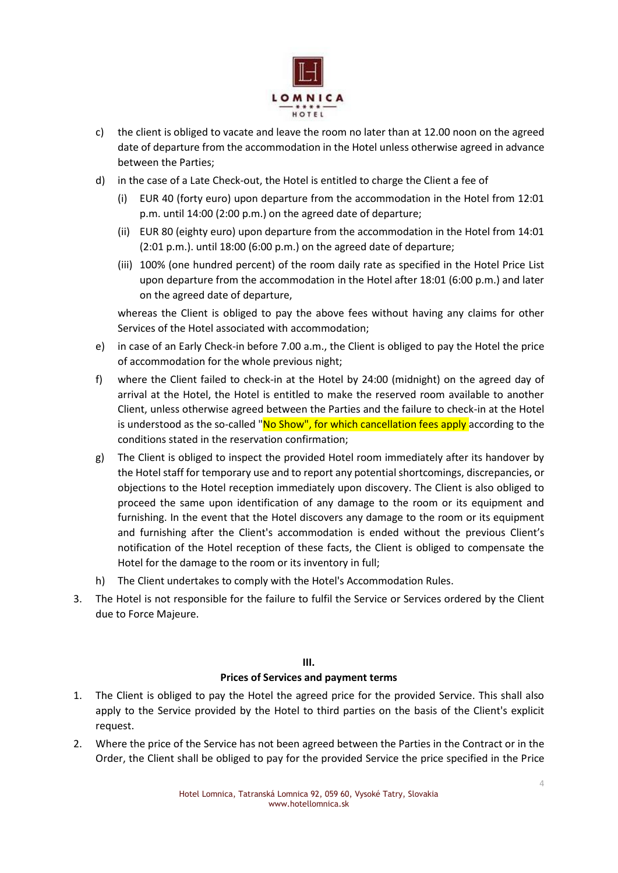

- c) the client is obliged to vacate and leave the room no later than at 12.00 noon on the agreed date of departure from the accommodation in the Hotel unless otherwise agreed in advance between the Parties;
- d) in the case of a Late Check-out, the Hotel is entitled to charge the Client a fee of
	- (i) EUR 40 (forty euro) upon departure from the accommodation in the Hotel from 12:01 p.m. until 14:00 (2:00 p.m.) on the agreed date of departure;
	- (ii) EUR 80 (eighty euro) upon departure from the accommodation in the Hotel from 14:01 (2:01 p.m.). until 18:00 (6:00 p.m.) on the agreed date of departure;
	- (iii) 100% (one hundred percent) of the room daily rate as specified in the Hotel Price List upon departure from the accommodation in the Hotel after 18:01 (6:00 p.m.) and later on the agreed date of departure,

whereas the Client is obliged to pay the above fees without having any claims for other Services of the Hotel associated with accommodation;

- e) in case of an Early Check-in before 7.00 a.m., the Client is obliged to pay the Hotel the price of accommodation for the whole previous night;
- f) where the Client failed to check-in at the Hotel by 24:00 (midnight) on the agreed day of arrival at the Hotel, the Hotel is entitled to make the reserved room available to another Client, unless otherwise agreed between the Parties and the failure to check-in at the Hotel is understood as the so-called "No Show", for which cancellation fees apply according to the conditions stated in the reservation confirmation;
- g) The Client is obliged to inspect the provided Hotel room immediately after its handover by the Hotel staff for temporary use and to report any potential shortcomings, discrepancies, or objections to the Hotel reception immediately upon discovery. The Client is also obliged to proceed the same upon identification of any damage to the room or its equipment and furnishing. In the event that the Hotel discovers any damage to the room or its equipment and furnishing after the Client's accommodation is ended without the previous Client's notification of the Hotel reception of these facts, the Client is obliged to compensate the Hotel for the damage to the room or its inventory in full;
- h) The Client undertakes to comply with the Hotel's Accommodation Rules.
- 3. The Hotel is not responsible for the failure to fulfil the Service or Services ordered by the Client due to Force Majeure.

## **III. Prices of Services and payment terms**

- 1. The Client is obliged to pay the Hotel the agreed price for the provided Service. This shall also apply to the Service provided by the Hotel to third parties on the basis of the Client's explicit request.
- 2. Where the price of the Service has not been agreed between the Parties in the Contract or in the Order, the Client shall be obliged to pay for the provided Service the price specified in the Price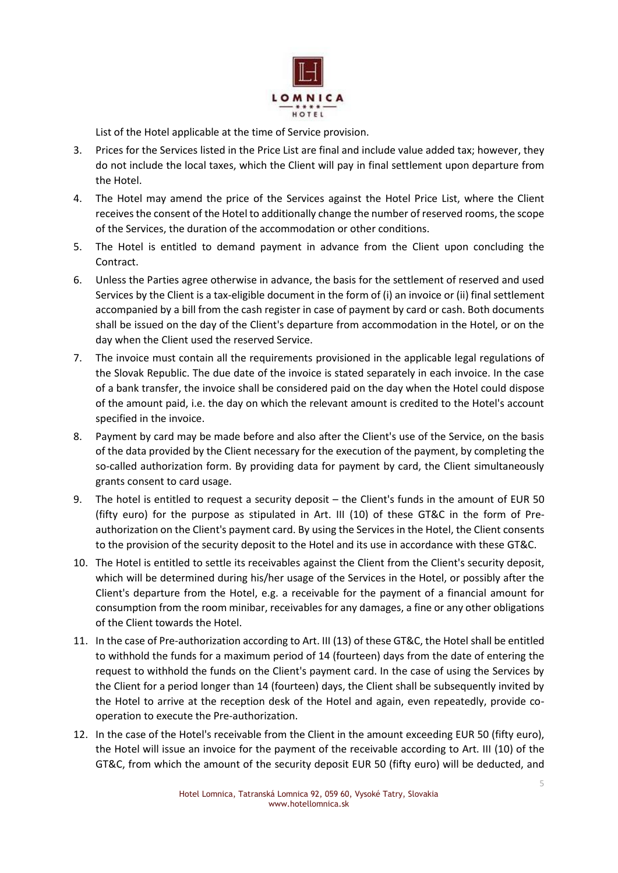

List of the Hotel applicable at the time of Service provision.

- 3. Prices for the Services listed in the Price List are final and include value added tax; however, they do not include the local taxes, which the Client will pay in final settlement upon departure from the Hotel.
- 4. The Hotel may amend the price of the Services against the Hotel Price List, where the Client receives the consent of the Hotel to additionally change the number of reserved rooms, the scope of the Services, the duration of the accommodation or other conditions.
- 5. The Hotel is entitled to demand payment in advance from the Client upon concluding the Contract.
- 6. Unless the Parties agree otherwise in advance, the basis for the settlement of reserved and used Services by the Client is a tax-eligible document in the form of (i) an invoice or (ii) final settlement accompanied by a bill from the cash register in case of payment by card or cash. Both documents shall be issued on the day of the Client's departure from accommodation in the Hotel, or on the day when the Client used the reserved Service.
- 7. The invoice must contain all the requirements provisioned in the applicable legal regulations of the Slovak Republic. The due date of the invoice is stated separately in each invoice. In the case of a bank transfer, the invoice shall be considered paid on the day when the Hotel could dispose of the amount paid, i.e. the day on which the relevant amount is credited to the Hotel's account specified in the invoice.
- 8. Payment by card may be made before and also after the Client's use of the Service, on the basis of the data provided by the Client necessary for the execution of the payment, by completing the so-called authorization form. By providing data for payment by card, the Client simultaneously grants consent to card usage.
- 9. The hotel is entitled to request a security deposit the Client's funds in the amount of EUR 50 (fifty euro) for the purpose as stipulated in Art. III (10) of these GT&C in the form of Preauthorization on the Client's payment card. By using the Services in the Hotel, the Client consents to the provision of the security deposit to the Hotel and its use in accordance with these GT&C.
- 10. The Hotel is entitled to settle its receivables against the Client from the Client's security deposit, which will be determined during his/her usage of the Services in the Hotel, or possibly after the Client's departure from the Hotel, e.g. a receivable for the payment of a financial amount for consumption from the room minibar, receivables for any damages, a fine or any other obligations of the Client towards the Hotel.
- 11. In the case of Pre-authorization according to Art. III (13) of these GT&C, the Hotel shall be entitled to withhold the funds for a maximum period of 14 (fourteen) days from the date of entering the request to withhold the funds on the Client's payment card. In the case of using the Services by the Client for a period longer than 14 (fourteen) days, the Client shall be subsequently invited by the Hotel to arrive at the reception desk of the Hotel and again, even repeatedly, provide cooperation to execute the Pre-authorization.
- 12. In the case of the Hotel's receivable from the Client in the amount exceeding EUR 50 (fifty euro), the Hotel will issue an invoice for the payment of the receivable according to Art. III (10) of the GT&C, from which the amount of the security deposit EUR 50 (fifty euro) will be deducted, and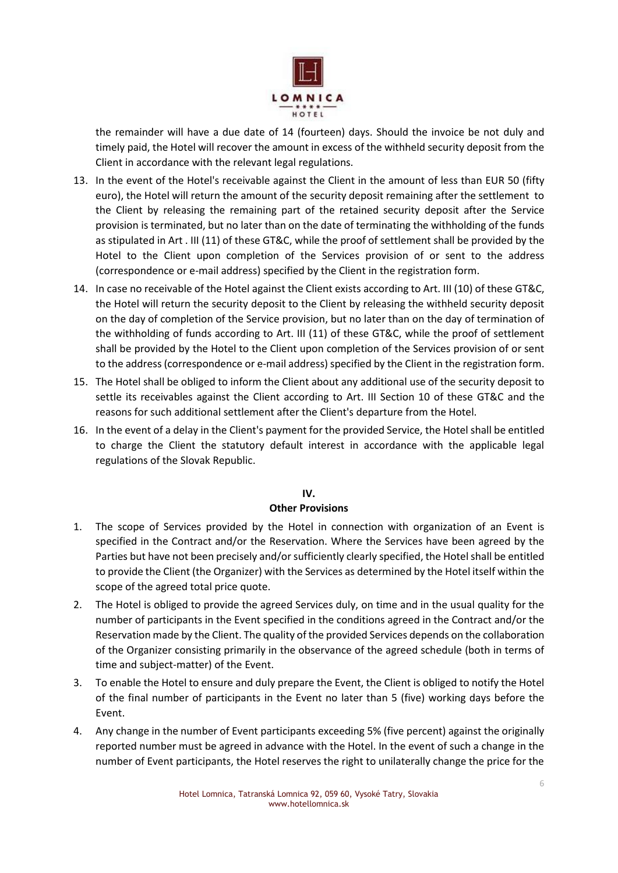

the remainder will have a due date of 14 (fourteen) days. Should the invoice be not duly and timely paid, the Hotel will recover the amount in excess of the withheld security deposit from the Client in accordance with the relevant legal regulations.

- 13. In the event of the Hotel's receivable against the Client in the amount of less than EUR 50 (fifty euro), the Hotel will return the amount of the security deposit remaining after the settlement to the Client by releasing the remaining part of the retained security deposit after the Service provision is terminated, but no later than on the date of terminating the withholding of the funds as stipulated in Art . III (11) of these GT&C, while the proof of settlement shall be provided by the Hotel to the Client upon completion of the Services provision of or sent to the address (correspondence or e-mail address) specified by the Client in the registration form.
- 14. In case no receivable of the Hotel against the Client exists according to Art. III (10) of these GT&C, the Hotel will return the security deposit to the Client by releasing the withheld security deposit on the day of completion of the Service provision, but no later than on the day of termination of the withholding of funds according to Art. III (11) of these GT&C, while the proof of settlement shall be provided by the Hotel to the Client upon completion of the Services provision of or sent to the address (correspondence or e-mail address) specified by the Client in the registration form.
- 15. The Hotel shall be obliged to inform the Client about any additional use of the security deposit to settle its receivables against the Client according to Art. III Section 10 of these GT&C and the reasons for such additional settlement after the Client's departure from the Hotel.
- 16. In the event of a delay in the Client's payment for the provided Service, the Hotel shall be entitled to charge the Client the statutory default interest in accordance with the applicable legal regulations of the Slovak Republic.

#### **IV.**

## **Other Provisions**

- 1. The scope of Services provided by the Hotel in connection with organization of an Event is specified in the Contract and/or the Reservation. Where the Services have been agreed by the Parties but have not been precisely and/or sufficiently clearly specified, the Hotel shall be entitled to provide the Client (the Organizer) with the Services as determined by the Hotel itself within the scope of the agreed total price quote.
- 2. The Hotel is obliged to provide the agreed Services duly, on time and in the usual quality for the number of participants in the Event specified in the conditions agreed in the Contract and/or the Reservation made by the Client. The quality of the provided Services depends on the collaboration of the Organizer consisting primarily in the observance of the agreed schedule (both in terms of time and subject-matter) of the Event.
- 3. To enable the Hotel to ensure and duly prepare the Event, the Client is obliged to notify the Hotel of the final number of participants in the Event no later than 5 (five) working days before the Event.
- 4. Any change in the number of Event participants exceeding 5% (five percent) against the originally reported number must be agreed in advance with the Hotel. In the event of such a change in the number of Event participants, the Hotel reserves the right to unilaterally change the price for the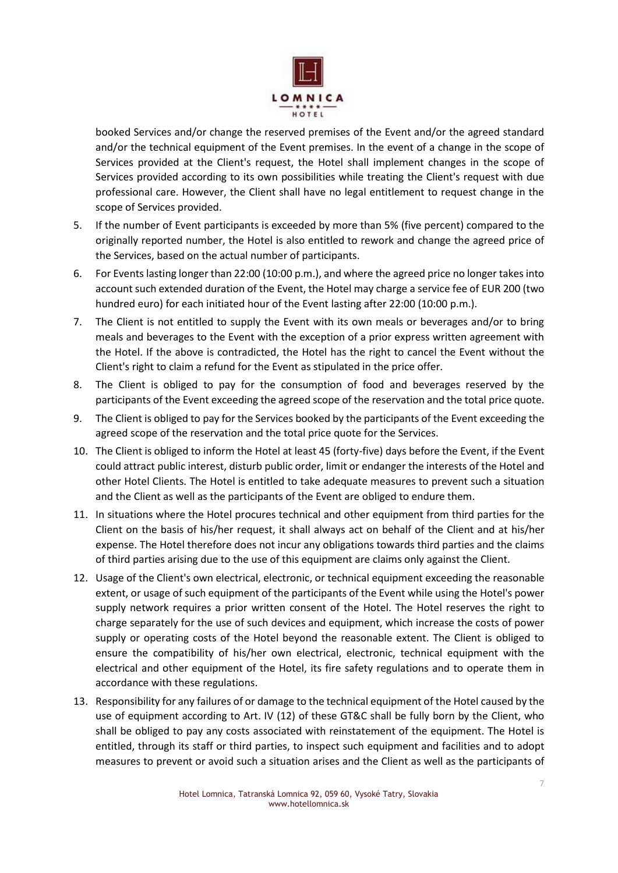

booked Services and/or change the reserved premises of the Event and/or the agreed standard and/or the technical equipment of the Event premises. In the event of a change in the scope of Services provided at the Client's request, the Hotel shall implement changes in the scope of Services provided according to its own possibilities while treating the Client's request with due professional care. However, the Client shall have no legal entitlement to request change in the scope of Services provided.

- 5. If the number of Event participants is exceeded by more than 5% (five percent) compared to the originally reported number, the Hotel is also entitled to rework and change the agreed price of the Services, based on the actual number of participants.
- 6. For Events lasting longer than 22:00 (10:00 p.m.), and where the agreed price no longer takes into account such extended duration of the Event, the Hotel may charge a service fee of EUR 200 (two hundred euro) for each initiated hour of the Event lasting after 22:00 (10:00 p.m.).
- 7. The Client is not entitled to supply the Event with its own meals or beverages and/or to bring meals and beverages to the Event with the exception of a prior express written agreement with the Hotel. If the above is contradicted, the Hotel has the right to cancel the Event without the Client's right to claim a refund for the Event as stipulated in the price offer.
- 8. The Client is obliged to pay for the consumption of food and beverages reserved by the participants of the Event exceeding the agreed scope of the reservation and the total price quote.
- 9. The Client is obliged to pay for the Services booked by the participants of the Event exceeding the agreed scope of the reservation and the total price quote for the Services.
- 10. The Client is obliged to inform the Hotel at least 45 (forty-five) days before the Event, if the Event could attract public interest, disturb public order, limit or endanger the interests of the Hotel and other Hotel Clients. The Hotel is entitled to take adequate measures to prevent such a situation and the Client as well as the participants of the Event are obliged to endure them.
- 11. In situations where the Hotel procures technical and other equipment from third parties for the Client on the basis of his/her request, it shall always act on behalf of the Client and at his/her expense. The Hotel therefore does not incur any obligations towards third parties and the claims of third parties arising due to the use of this equipment are claims only against the Client.
- 12. Usage of the Client's own electrical, electronic, or technical equipment exceeding the reasonable extent, or usage of such equipment of the participants of the Event while using the Hotel's power supply network requires a prior written consent of the Hotel. The Hotel reserves the right to charge separately for the use of such devices and equipment, which increase the costs of power supply or operating costs of the Hotel beyond the reasonable extent. The Client is obliged to ensure the compatibility of his/her own electrical, electronic, technical equipment with the electrical and other equipment of the Hotel, its fire safety regulations and to operate them in accordance with these regulations.
- 13. Responsibility for any failures of or damage to the technical equipment of the Hotel caused by the use of equipment according to Art. IV (12) of these GT&C shall be fully born by the Client, who shall be obliged to pay any costs associated with reinstatement of the equipment. The Hotel is entitled, through its staff or third parties, to inspect such equipment and facilities and to adopt measures to prevent or avoid such a situation arises and the Client as well as the participants of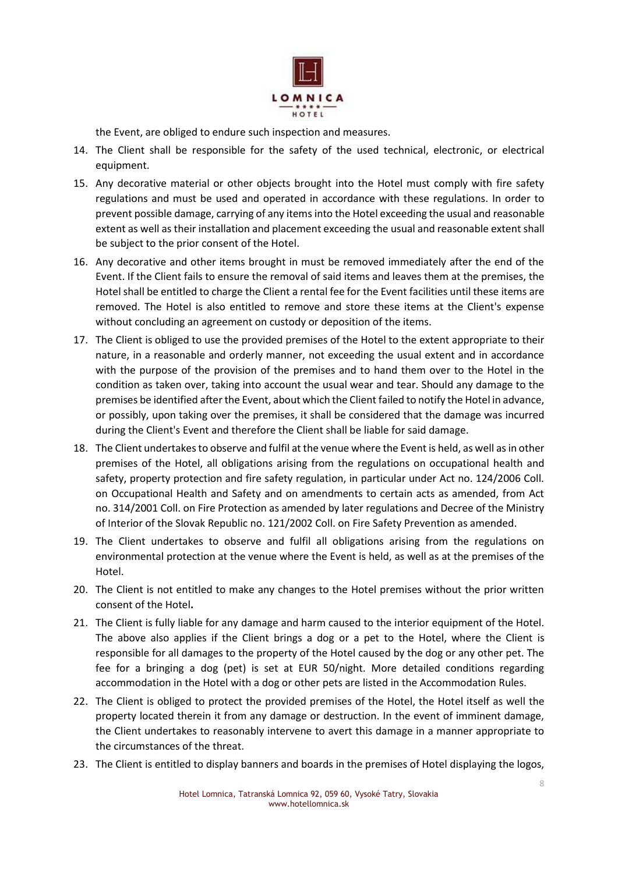

the Event, are obliged to endure such inspection and measures.

- 14. The Client shall be responsible for the safety of the used technical, electronic, or electrical equipment.
- 15. Any decorative material or other objects brought into the Hotel must comply with fire safety regulations and must be used and operated in accordance with these regulations. In order to prevent possible damage, carrying of any items into the Hotel exceeding the usual and reasonable extent as well as their installation and placement exceeding the usual and reasonable extent shall be subject to the prior consent of the Hotel.
- 16. Any decorative and other items brought in must be removed immediately after the end of the Event. If the Client fails to ensure the removal of said items and leaves them at the premises, the Hotel shall be entitled to charge the Client a rental fee for the Event facilities until these items are removed. The Hotel is also entitled to remove and store these items at the Client's expense without concluding an agreement on custody or deposition of the items.
- 17. The Client is obliged to use the provided premises of the Hotel to the extent appropriate to their nature, in a reasonable and orderly manner, not exceeding the usual extent and in accordance with the purpose of the provision of the premises and to hand them over to the Hotel in the condition as taken over, taking into account the usual wear and tear. Should any damage to the premises be identified after the Event, about which the Client failed to notify the Hotel in advance, or possibly, upon taking over the premises, it shall be considered that the damage was incurred during the Client's Event and therefore the Client shall be liable for said damage.
- 18. The Client undertakes to observe and fulfil at the venue where the Event is held, as well as in other premises of the Hotel, all obligations arising from the regulations on occupational health and safety, property protection and fire safety regulation, in particular under Act no. 124/2006 Coll. on Occupational Health and Safety and on amendments to certain acts as amended, from Act no. 314/2001 Coll. on Fire Protection as amended by later regulations and Decree of the Ministry of Interior of the Slovak Republic no. 121/2002 Coll. on Fire Safety Prevention as amended.
- 19. The Client undertakes to observe and fulfil all obligations arising from the regulations on environmental protection at the venue where the Event is held, as well as at the premises of the Hotel.
- 20. The Client is not entitled to make any changes to the Hotel premises without the prior written consent of the Hotel**.**
- 21. The Client is fully liable for any damage and harm caused to the interior equipment of the Hotel. The above also applies if the Client brings a dog or a pet to the Hotel, where the Client is responsible for all damages to the property of the Hotel caused by the dog or any other pet. The fee for a bringing a dog (pet) is set at EUR 50/night. More detailed conditions regarding accommodation in the Hotel with a dog or other pets are listed in the Accommodation Rules.
- 22. The Client is obliged to protect the provided premises of the Hotel, the Hotel itself as well the property located therein it from any damage or destruction. In the event of imminent damage, the Client undertakes to reasonably intervene to avert this damage in a manner appropriate to the circumstances of the threat.
- 23. The Client is entitled to display banners and boards in the premises of Hotel displaying the logos,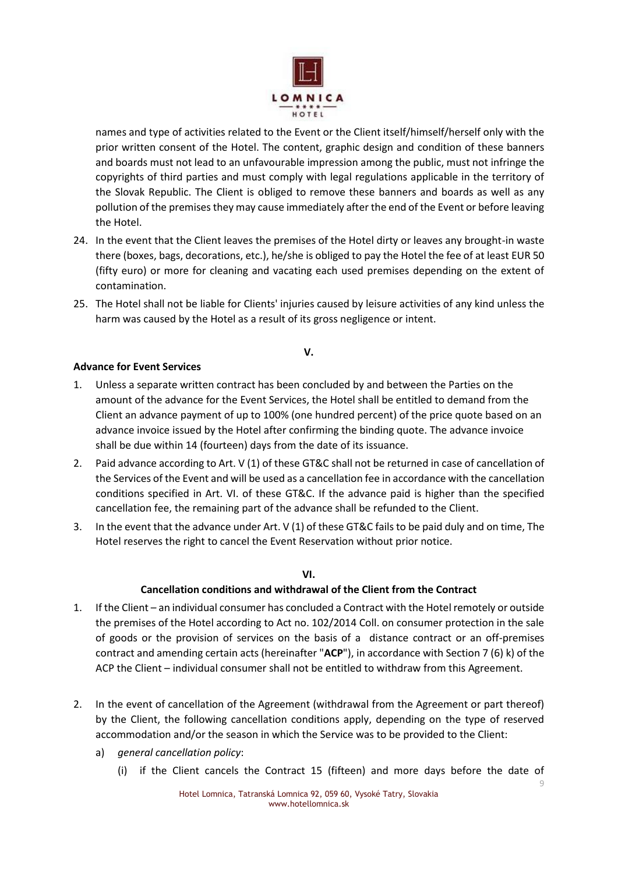

names and type of activities related to the Event or the Client itself/himself/herself only with the prior written consent of the Hotel. The content, graphic design and condition of these banners and boards must not lead to an unfavourable impression among the public, must not infringe the copyrights of third parties and must comply with legal regulations applicable in the territory of the Slovak Republic. The Client is obliged to remove these banners and boards as well as any pollution of the premises they may cause immediately after the end of the Event or before leaving the Hotel.

- 24. In the event that the Client leaves the premises of the Hotel dirty or leaves any brought-in waste there (boxes, bags, decorations, etc.), he/she is obliged to pay the Hotel the fee of at least EUR 50 (fifty euro) or more for cleaning and vacating each used premises depending on the extent of contamination.
- 25. The Hotel shall not be liable for Clients' injuries caused by leisure activities of any kind unless the harm was caused by the Hotel as a result of its gross negligence or intent.

#### **V.**

### **Advance for Event Services**

- 1. Unless a separate written contract has been concluded by and between the Parties on the amount of the advance for the Event Services, the Hotel shall be entitled to demand from the Client an advance payment of up to 100% (one hundred percent) of the price quote based on an advance invoice issued by the Hotel after confirming the binding quote. The advance invoice shall be due within 14 (fourteen) days from the date of its issuance.
- 2. Paid advance according to Art. V (1) of these GT&C shall not be returned in case of cancellation of the Services of the Event and will be used as a cancellation fee in accordance with the cancellation conditions specified in Art. VI. of these GT&C. If the advance paid is higher than the specified cancellation fee, the remaining part of the advance shall be refunded to the Client.
- 3. In the event that the advance under Art. V (1) of these GT&C fails to be paid duly and on time, The Hotel reserves the right to cancel the Event Reservation without prior notice.

#### **VI.**

## **Cancellation conditions and withdrawal of the Client from the Contract**

- 1. If the Client an individual consumer has concluded a Contract with the Hotel remotely or outside the premises of the Hotel according to Act no. 102/2014 Coll. on consumer protection in the sale of goods or the provision of services on the basis of a distance contract or an off-premises contract and amending certain acts (hereinafter "**ACP**"), in accordance with Section 7 (6) k) of the ACP the Client – individual consumer shall not be entitled to withdraw from this Agreement.
- 2. In the event of cancellation of the Agreement (withdrawal from the Agreement or part thereof) by the Client, the following cancellation conditions apply, depending on the type of reserved accommodation and/or the season in which the Service was to be provided to the Client:
	- a) *general cancellation policy*:
		- (i) if the Client cancels the Contract 15 (fifteen) and more days before the date of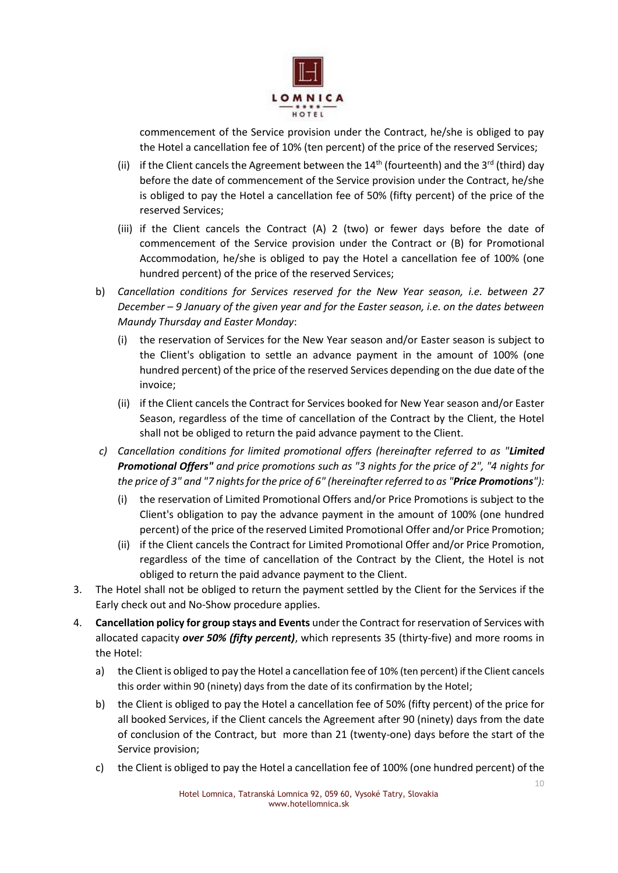

commencement of the Service provision under the Contract, he/she is obliged to pay the Hotel a cancellation fee of 10% (ten percent) of the price of the reserved Services;

- (ii) if the Client cancels the Agreement between the  $14<sup>th</sup>$  (fourteenth) and the  $3<sup>rd</sup>$  (third) day before the date of commencement of the Service provision under the Contract, he/she is obliged to pay the Hotel a cancellation fee of 50% (fifty percent) of the price of the reserved Services;
- (iii) if the Client cancels the Contract (A) 2 (two) or fewer days before the date of commencement of the Service provision under the Contract or (B) for Promotional Accommodation, he/she is obliged to pay the Hotel a cancellation fee of 100% (one hundred percent) of the price of the reserved Services;
- b) *Cancellation conditions for Services reserved for the New Year season, i.e. between 27 December – 9 January of the given year and for the Easter season, i.e. on the dates between Maundy Thursday and Easter Monday*:
	- (i) the reservation of Services for the New Year season and/or Easter season is subject to the Client's obligation to settle an advance payment in the amount of 100% (one hundred percent) of the price of the reserved Services depending on the due date of the invoice;
	- (ii) if the Client cancels the Contract for Services booked for New Year season and/or Easter Season, regardless of the time of cancellation of the Contract by the Client, the Hotel shall not be obliged to return the paid advance payment to the Client.
- *c) Cancellation conditions for limited promotional offers (hereinafter referred to as "Limited Promotional Offers" and price promotions such as "3 nights for the price of 2", "4 nights for the price of 3" and "7 nights for the price of 6" (hereinafter referred to as "Price Promotions"):*
	- (i) the reservation of Limited Promotional Offers and/or Price Promotions is subject to the Client's obligation to pay the advance payment in the amount of 100% (one hundred percent) of the price of the reserved Limited Promotional Offer and/or Price Promotion;
	- (ii) if the Client cancels the Contract for Limited Promotional Offer and/or Price Promotion, regardless of the time of cancellation of the Contract by the Client, the Hotel is not obliged to return the paid advance payment to the Client.
- 3. The Hotel shall not be obliged to return the payment settled by the Client for the Services if the Early check out and No-Show procedure applies.
- 4. **Cancellation policy for group stays and Events** under the Contract for reservation of Services with allocated capacity *over 50% (fifty percent)*, which represents 35 (thirty-five) and more rooms in the Hotel:
	- a) the Client is obliged to pay the Hotel a cancellation fee of 10% (ten percent) if the Client cancels this order within 90 (ninety) days from the date of its confirmation by the Hotel;
	- b) the Client is obliged to pay the Hotel a cancellation fee of 50% (fifty percent) of the price for all booked Services, if the Client cancels the Agreement after 90 (ninety) days from the date of conclusion of the Contract, but more than 21 (twenty-one) days before the start of the Service provision;
	- c) the Client is obliged to pay the Hotel a cancellation fee of 100% (one hundred percent) of the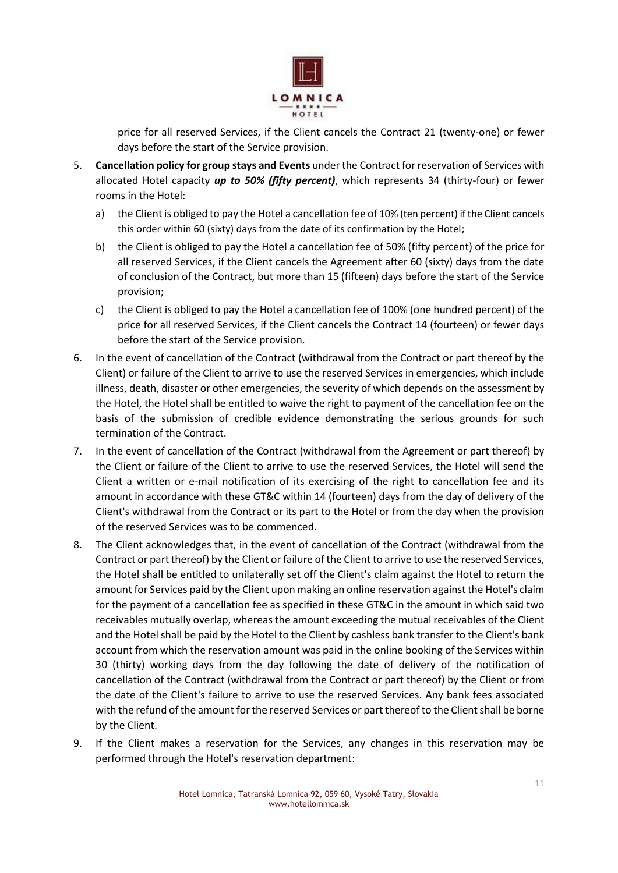

price for all reserved Services, if the Client cancels the Contract 21 (twenty-one) or fewer days before the start of the Service provision.

- 5. **Cancellation policy for group stays and Events** under the Contract for reservation of Services with allocated Hotel capacity *up to 50% (fifty percent)*, which represents 34 (thirty-four) or fewer rooms in the Hotel:
	- a) the Client is obliged to pay the Hotel a cancellation fee of 10% (ten percent) if the Client cancels this order within 60 (sixty) days from the date of its confirmation by the Hotel;
	- b) the Client is obliged to pay the Hotel a cancellation fee of 50% (fifty percent) of the price for all reserved Services, if the Client cancels the Agreement after 60 (sixty) days from the date of conclusion of the Contract, but more than 15 (fifteen) days before the start of the Service provision;
	- c) the Client is obliged to pay the Hotel a cancellation fee of 100% (one hundred percent) of the price for all reserved Services, if the Client cancels the Contract 14 (fourteen) or fewer days before the start of the Service provision.
- 6. In the event of cancellation of the Contract (withdrawal from the Contract or part thereof by the Client) or failure of the Client to arrive to use the reserved Services in emergencies, which include illness, death, disaster or other emergencies, the severity of which depends on the assessment by the Hotel, the Hotel shall be entitled to waive the right to payment of the cancellation fee on the basis of the submission of credible evidence demonstrating the serious grounds for such termination of the Contract.
- 7. In the event of cancellation of the Contract (withdrawal from the Agreement or part thereof) by the Client or failure of the Client to arrive to use the reserved Services, the Hotel will send the Client a written or e-mail notification of its exercising of the right to cancellation fee and its amount in accordance with these GT&C within 14 (fourteen) days from the day of delivery of the Client's withdrawal from the Contract or its part to the Hotel or from the day when the provision of the reserved Services was to be commenced.
- 8. The Client acknowledges that, in the event of cancellation of the Contract (withdrawal from the Contract or part thereof) by the Client or failure of the Client to arrive to use the reserved Services, the Hotel shall be entitled to unilaterally set off the Client's claim against the Hotel to return the amount for Services paid by the Client upon making an online reservation against the Hotel's claim for the payment of a cancellation fee as specified in these GT&C in the amount in which said two receivables mutually overlap, whereas the amount exceeding the mutual receivables of the Client and the Hotel shall be paid by the Hotel to the Client by cashless bank transfer to the Client's bank account from which the reservation amount was paid in the online booking of the Services within 30 (thirty) working days from the day following the date of delivery of the notification of cancellation of the Contract (withdrawal from the Contract or part thereof) by the Client or from the date of the Client's failure to arrive to use the reserved Services. Any bank fees associated with the refund of the amount for the reserved Services or part thereof to the Client shall be borne by the Client.
- 9. If the Client makes a reservation for the Services, any changes in this reservation may be performed through the Hotel's reservation department: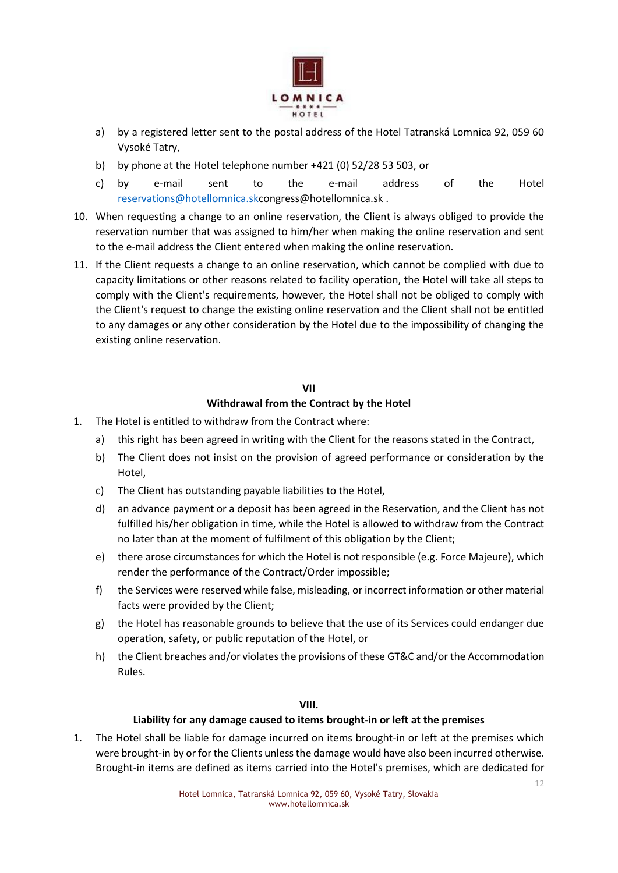

- a) by a registered letter sent to the postal address of the Hotel Tatranská Lomnica 92, 059 60 Vysoké Tatry,
- b) by phone at the Hotel telephone number +421 (0) 52/28 53 503, or
- c) by e-mail sent to the e-mail address of the Hotel [reservations@hotellomnica.skcongress@hotellomnica.sk](mailto:reservations@hotellomnica.sk) .
- 10. When requesting a change to an online reservation, the Client is always obliged to provide the reservation number that was assigned to him/her when making the online reservation and sent to the e-mail address the Client entered when making the online reservation.
- 11. If the Client requests a change to an online reservation, which cannot be complied with due to capacity limitations or other reasons related to facility operation, the Hotel will take all steps to comply with the Client's requirements, however, the Hotel shall not be obliged to comply with the Client's request to change the existing online reservation and the Client shall not be entitled to any damages or any other consideration by the Hotel due to the impossibility of changing the existing online reservation.

## **VII Withdrawal from the Contract by the Hotel**

- 1. The Hotel is entitled to withdraw from the Contract where:
	- a) this right has been agreed in writing with the Client for the reasons stated in the Contract,
	- b) The Client does not insist on the provision of agreed performance or consideration by the Hotel,
	- c) The Client has outstanding payable liabilities to the Hotel,
	- d) an advance payment or a deposit has been agreed in the Reservation, and the Client has not fulfilled his/her obligation in time, while the Hotel is allowed to withdraw from the Contract no later than at the moment of fulfilment of this obligation by the Client;
	- e) there arose circumstances for which the Hotel is not responsible (e.g. Force Majeure), which render the performance of the Contract/Order impossible;
	- f) the Services were reserved while false, misleading, or incorrect information or other material facts were provided by the Client;
	- g) the Hotel has reasonable grounds to believe that the use of its Services could endanger due operation, safety, or public reputation of the Hotel, or
	- h) the Client breaches and/or violates the provisions of these GT&C and/or the Accommodation Rules.

#### **VIII.**

#### **Liability for any damage caused to items brought-in or left at the premises**

1. The Hotel shall be liable for damage incurred on items brought-in or left at the premises which were brought-in by or for the Clients unless the damage would have also been incurred otherwise. Brought-in items are defined as items carried into the Hotel's premises, which are dedicated for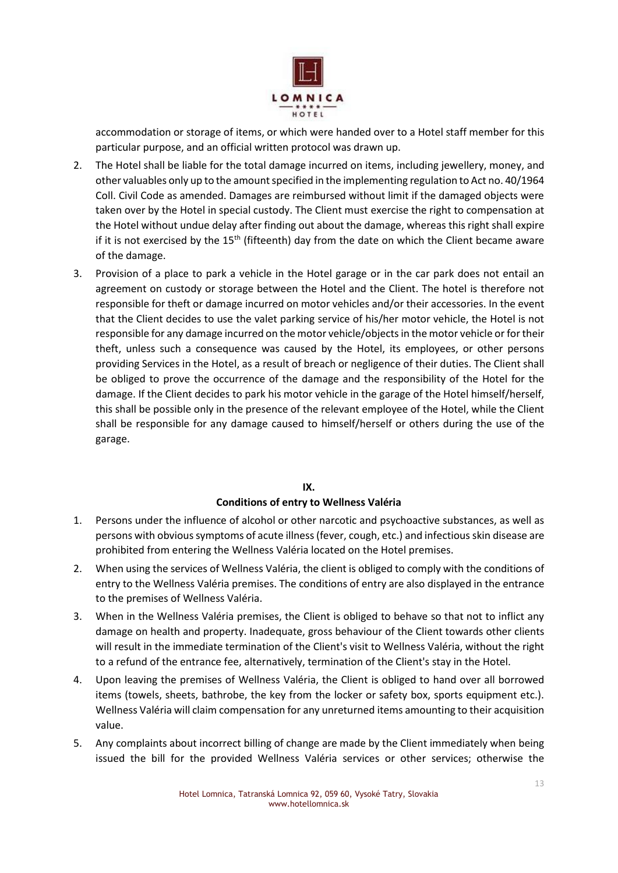

accommodation or storage of items, or which were handed over to a Hotel staff member for this particular purpose, and an official written protocol was drawn up.

- 2. The Hotel shall be liable for the total damage incurred on items, including jewellery, money, and other valuables only up to the amount specified in the implementing regulation to Act no. 40/1964 Coll. Civil Code as amended. Damages are reimbursed without limit if the damaged objects were taken over by the Hotel in special custody. The Client must exercise the right to compensation at the Hotel without undue delay after finding out about the damage, whereas this right shall expire if it is not exercised by the  $15<sup>th</sup>$  (fifteenth) day from the date on which the Client became aware of the damage.
- 3. Provision of a place to park a vehicle in the Hotel garage or in the car park does not entail an agreement on custody or storage between the Hotel and the Client. The hotel is therefore not responsible for theft or damage incurred on motor vehicles and/or their accessories. In the event that the Client decides to use the valet parking service of his/her motor vehicle, the Hotel is not responsible for any damage incurred on the motor vehicle/objects in the motor vehicle or for their theft, unless such a consequence was caused by the Hotel, its employees, or other persons providing Services in the Hotel, as a result of breach or negligence of their duties. The Client shall be obliged to prove the occurrence of the damage and the responsibility of the Hotel for the damage. If the Client decides to park his motor vehicle in the garage of the Hotel himself/herself, this shall be possible only in the presence of the relevant employee of the Hotel, while the Client shall be responsible for any damage caused to himself/herself or others during the use of the garage.

## **IX.**

## **Conditions of entry to Wellness Valéria**

- 1. Persons under the influence of alcohol or other narcotic and psychoactive substances, as well as persons with obvious symptoms of acute illness (fever, cough, etc.) and infectious skin disease are prohibited from entering the Wellness Valéria located on the Hotel premises.
- 2. When using the services of Wellness Valéria, the client is obliged to comply with the conditions of entry to the Wellness Valéria premises. The conditions of entry are also displayed in the entrance to the premises of Wellness Valéria.
- 3. When in the Wellness Valéria premises, the Client is obliged to behave so that not to inflict any damage on health and property. Inadequate, gross behaviour of the Client towards other clients will result in the immediate termination of the Client's visit to Wellness Valéria, without the right to a refund of the entrance fee, alternatively, termination of the Client's stay in the Hotel.
- 4. Upon leaving the premises of Wellness Valéria, the Client is obliged to hand over all borrowed items (towels, sheets, bathrobe, the key from the locker or safety box, sports equipment etc.). Wellness Valéria will claim compensation for any unreturned items amounting to their acquisition value.
- 5. Any complaints about incorrect billing of change are made by the Client immediately when being issued the bill for the provided Wellness Valéria services or other services; otherwise the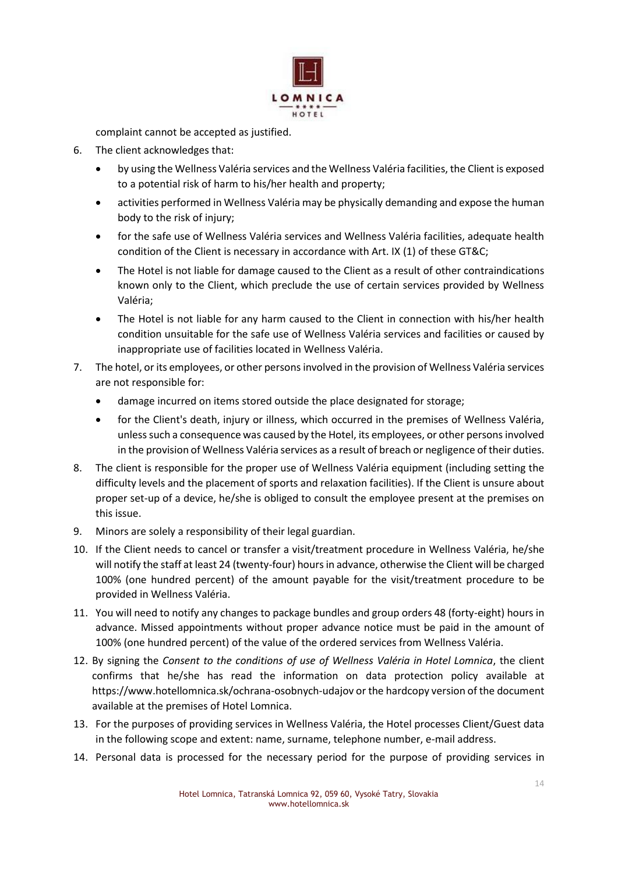

complaint cannot be accepted as justified.

- 6. The client acknowledges that:
	- by using the Wellness Valéria services and the Wellness Valéria facilities, the Client is exposed to a potential risk of harm to his/her health and property;
	- activities performed in Wellness Valéria may be physically demanding and expose the human body to the risk of injury;
	- for the safe use of Wellness Valéria services and Wellness Valéria facilities, adequate health condition of the Client is necessary in accordance with Art. IX (1) of these GT&C;
	- The Hotel is not liable for damage caused to the Client as a result of other contraindications known only to the Client, which preclude the use of certain services provided by Wellness Valéria;
	- The Hotel is not liable for any harm caused to the Client in connection with his/her health condition unsuitable for the safe use of Wellness Valéria services and facilities or caused by inappropriate use of facilities located in Wellness Valéria.
- 7. The hotel, or its employees, or other persons involved in the provision of Wellness Valéria services are not responsible for:
	- damage incurred on items stored outside the place designated for storage;
	- for the Client's death, injury or illness, which occurred in the premises of Wellness Valéria, unless such a consequence was caused by the Hotel, its employees, or other persons involved in the provision of Wellness Valéria services as a result of breach or negligence of their duties.
- 8. The client is responsible for the proper use of Wellness Valéria equipment (including setting the difficulty levels and the placement of sports and relaxation facilities). If the Client is unsure about proper set-up of a device, he/she is obliged to consult the employee present at the premises on this issue.
- 9. Minors are solely a responsibility of their legal guardian.
- 10. If the Client needs to cancel or transfer a visit/treatment procedure in Wellness Valéria, he/she will notify the staff at least 24 (twenty-four) hours in advance, otherwise the Client will be charged 100% (one hundred percent) of the amount payable for the visit/treatment procedure to be provided in Wellness Valéria.
- 11. You will need to notify any changes to package bundles and group orders 48 (forty-eight) hours in advance. Missed appointments without proper advance notice must be paid in the amount of 100% (one hundred percent) of the value of the ordered services from Wellness Valéria.
- 12. By signing the *Consent to the conditions of use of Wellness Valéria in Hotel Lomnica*, the client confirms that he/she has read the information on data protection policy available at https://www.hotellomnica.sk/ochrana-osobnych-udajov or the hardcopy version of the document available at the premises of Hotel Lomnica.
- 13. For the purposes of providing services in Wellness Valéria, the Hotel processes Client/Guest data in the following scope and extent: name, surname, telephone number, e-mail address.
- 14. Personal data is processed for the necessary period for the purpose of providing services in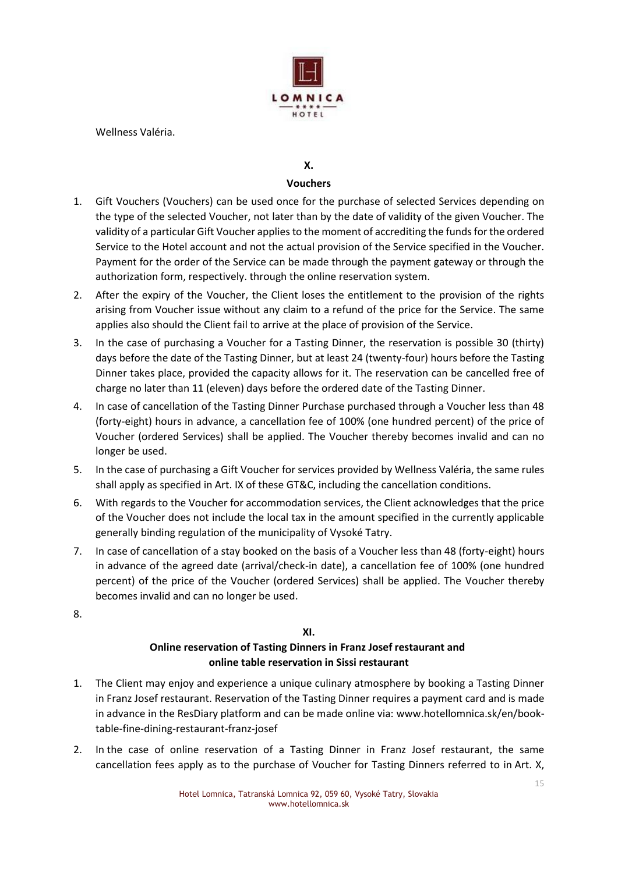

Wellness Valéria.

## **X.**

### **Vouchers**

- 1. Gift Vouchers (Vouchers) can be used once for the purchase of selected Services depending on the type of the selected Voucher, not later than by the date of validity of the given Voucher. The validity of a particular Gift Voucher applies to the moment of accrediting the funds for the ordered Service to the Hotel account and not the actual provision of the Service specified in the Voucher. Payment for the order of the Service can be made through the payment gateway or through the authorization form, respectively. through the online reservation system.
- 2. After the expiry of the Voucher, the Client loses the entitlement to the provision of the rights arising from Voucher issue without any claim to a refund of the price for the Service. The same applies also should the Client fail to arrive at the place of provision of the Service.
- 3. In the case of purchasing a Voucher for a Tasting Dinner, the reservation is possible 30 (thirty) days before the date of the Tasting Dinner, but at least 24 (twenty-four) hours before the Tasting Dinner takes place, provided the capacity allows for it. The reservation can be cancelled free of charge no later than 11 (eleven) days before the ordered date of the Tasting Dinner.
- 4. In case of cancellation of the Tasting Dinner Purchase purchased through a Voucher less than 48 (forty-eight) hours in advance, a cancellation fee of 100% (one hundred percent) of the price of Voucher (ordered Services) shall be applied. The Voucher thereby becomes invalid and can no longer be used.
- 5. In the case of purchasing a Gift Voucher for services provided by Wellness Valéria, the same rules shall apply as specified in Art. IX of these GT&C, including the cancellation conditions.
- 6. With regards to the Voucher for accommodation services, the Client acknowledges that the price of the Voucher does not include the local tax in the amount specified in the currently applicable generally binding regulation of the municipality of Vysoké Tatry.
- 7. In case of cancellation of a stay booked on the basis of a Voucher less than 48 (forty-eight) hours in advance of the agreed date (arrival/check-in date), a cancellation fee of 100% (one hundred percent) of the price of the Voucher (ordered Services) shall be applied. The Voucher thereby becomes invalid and can no longer be used.
- 8.

## **XI.**

## **Online reservation of Tasting Dinners in Franz Josef restaurant and online table reservation in Sissi restaurant**

- 1. The Client may enjoy and experience a unique culinary atmosphere by booking a Tasting Dinner in Franz Josef restaurant. Reservation of the Tasting Dinner requires a payment card and is made in advance in the ResDiary platform and can be made online via: www.hotellomnica.sk/en/booktable-fine-dining-restaurant-franz-josef
- 2. In the case of online reservation of a Tasting Dinner in Franz Josef restaurant, the same cancellation fees apply as to the purchase of Voucher for Tasting Dinners referred to in Art. X,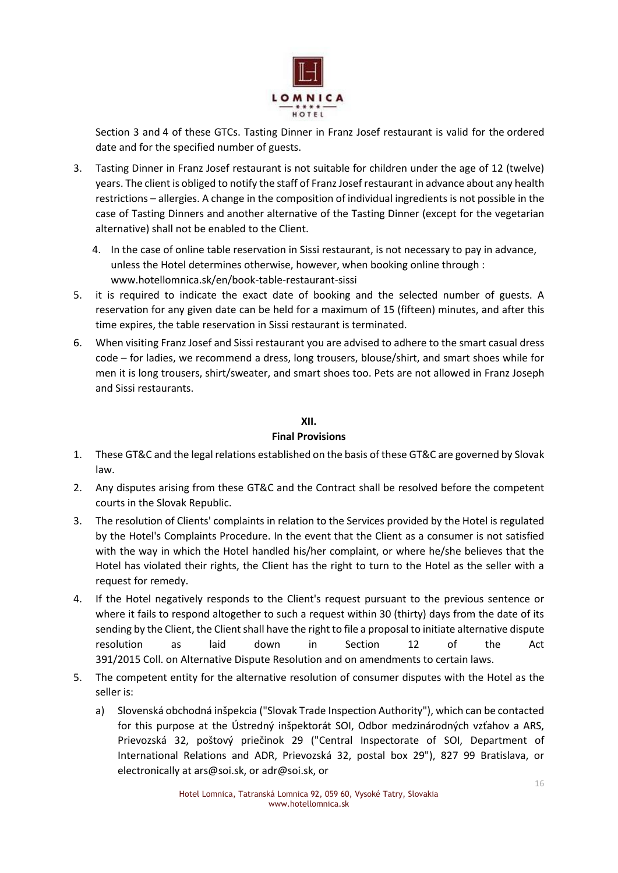

Section 3 and 4 of these GTCs. Tasting Dinner in Franz Josef restaurant is valid for the ordered date and for the specified number of guests.

- 3. Tasting Dinner in Franz Josef restaurant is not suitable for children under the age of 12 (twelve) years. The client is obliged to notify the staff of Franz Josef restaurant in advance about any health restrictions – allergies. A change in the composition of individual ingredients is not possible in the case of Tasting Dinners and another alternative of the Tasting Dinner (except for the vegetarian alternative) shall not be enabled to the Client.
	- 4. In the case of online table reservation in Sissi restaurant, is not necessary to pay in advance, unless the Hotel determines otherwise, however, when booking online through : www.hotellomnica.sk/en/book-table-restaurant-sissi
- 5. it is required to indicate the exact date of booking and the selected number of guests. A reservation for any given date can be held for a maximum of 15 (fifteen) minutes, and after this time expires, the table reservation in Sissi restaurant is terminated.
- 6. When visiting Franz Josef and Sissi restaurant you are advised to adhere to the smart casual dress code – for ladies, we recommend a dress, long trousers, blouse/shirt, and smart shoes while for men it is long trousers, shirt/sweater, and smart shoes too. Pets are not allowed in Franz Joseph and Sissi restaurants.

### **XII.**

## **Final Provisions**

- 1. These GT&C and the legal relations established on the basis of these GT&C are governed by Slovak law.
- 2. Any disputes arising from these GT&C and the Contract shall be resolved before the competent courts in the Slovak Republic.
- 3. The resolution of Clients' complaints in relation to the Services provided by the Hotel is regulated by the Hotel's Complaints Procedure. In the event that the Client as a consumer is not satisfied with the way in which the Hotel handled his/her complaint, or where he/she believes that the Hotel has violated their rights, the Client has the right to turn to the Hotel as the seller with a request for remedy.
- 4. If the Hotel negatively responds to the Client's request pursuant to the previous sentence or where it fails to respond altogether to such a request within 30 (thirty) days from the date of its sending by the Client, the Client shall have the right to file a proposal to initiate alternative dispute resolution as laid down in Section 12 of the Act 391/2015 Coll. on Alternative Dispute Resolution and on amendments to certain laws.
- 5. The competent entity for the alternative resolution of consumer disputes with the Hotel as the seller is:
	- a) Slovenská obchodná inšpekcia ("Slovak Trade Inspection Authority"), which can be contacted for this purpose at the Ústredný inšpektorát SOI, Odbor medzinárodných vzťahov a ARS, Prievozská 32, poštový priečinok 29 ("Central Inspectorate of SOI, Department of International Relations and ADR, Prievozská 32, postal box 29"), 827 99 Bratislava, or electronically at ars@soi.sk, or adr@soi.sk, or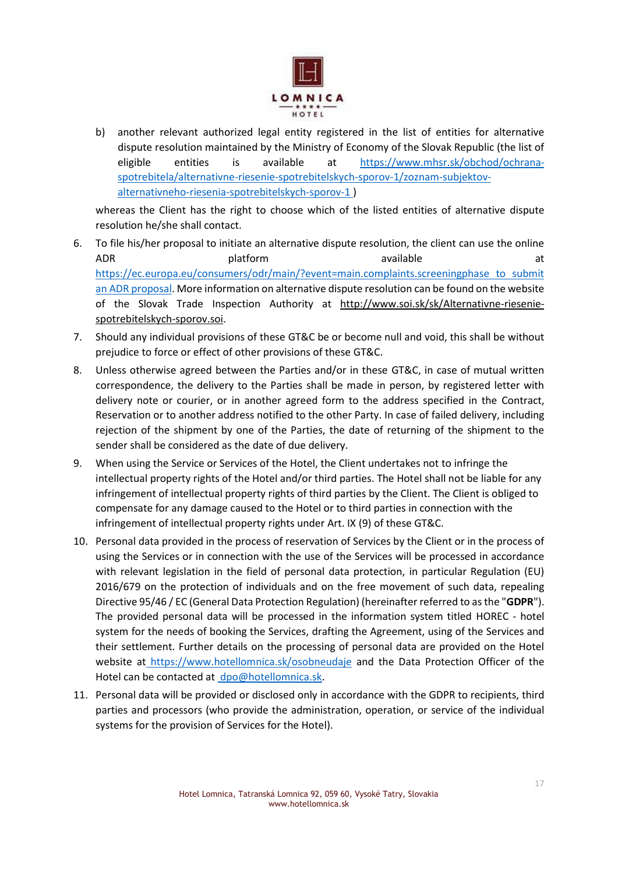

b) another relevant authorized legal entity registered in the list of entities for alternative dispute resolution maintained by the Ministry of Economy of the Slovak Republic (the list of eligible entities is available at [https://www.mhsr.sk/obchod/ochrana](https://www.mhsr.sk/obchod/ochrana-spotrebitela/alternativne-riesenie-spotrebitelskych-sporov-1/zoznam-subjektov-alternativneho-riesenia-spotrebitelskych-sporov-1)[spotrebitela/alternativne-riesenie-spotrebitelskych-sporov-1/zoznam-subjektov](https://www.mhsr.sk/obchod/ochrana-spotrebitela/alternativne-riesenie-spotrebitelskych-sporov-1/zoznam-subjektov-alternativneho-riesenia-spotrebitelskych-sporov-1)[alternativneho-riesenia-spotrebitelskych-sporov-1](https://www.mhsr.sk/obchod/ochrana-spotrebitela/alternativne-riesenie-spotrebitelskych-sporov-1/zoznam-subjektov-alternativneho-riesenia-spotrebitelskych-sporov-1) )

whereas the Client has the right to choose which of the listed entities of alternative dispute resolution he/she shall contact.

- 6. To file his/her proposal to initiate an alternative dispute resolution, the client can use the online ADR **and a platform** and a platform a controller and a plant and a controller and a controller and a controller and a controller and a controller and a controller and a controller and a controller and a controller and a co [https://ec.europa.eu/consumers/odr/main/?event=main.complaints.screeningphase to submit](https://ec.europa.eu/consumers/odr/main/?event=main.complaints.screeningphase)  [an ADR proposal.](https://ec.europa.eu/consumers/odr/main/?event=main.complaints.screeningphase) More information on alternative dispute resolution can be found on the website of the Slovak Trade Inspection Authority at [http://www.soi.sk/sk/Alternativne-riesenie](http://www.soi.sk/sk/Alternativne-riesenie-spotrebitelskych-sporov.soi)[spotrebitelskych-sporov.soi.](http://www.soi.sk/sk/Alternativne-riesenie-spotrebitelskych-sporov.soi)
- 7. Should any individual provisions of these GT&C be or become null and void, this shall be without prejudice to force or effect of other provisions of these GT&C.
- 8. Unless otherwise agreed between the Parties and/or in these GT&C, in case of mutual written correspondence, the delivery to the Parties shall be made in person, by registered letter with delivery note or courier, or in another agreed form to the address specified in the Contract, Reservation or to another address notified to the other Party. In case of failed delivery, including rejection of the shipment by one of the Parties, the date of returning of the shipment to the sender shall be considered as the date of due delivery.
- 9. When using the Service or Services of the Hotel, the Client undertakes not to infringe the intellectual property rights of the Hotel and/or third parties. The Hotel shall not be liable for any infringement of intellectual property rights of third parties by the Client. The Client is obliged to compensate for any damage caused to the Hotel or to third parties in connection with the infringement of intellectual property rights under Art. IX (9) of these GT&C.
- 10. Personal data provided in the process of reservation of Services by the Client or in the process of using the Services or in connection with the use of the Services will be processed in accordance with relevant legislation in the field of personal data protection, in particular Regulation (EU) 2016/679 on the protection of individuals and on the free movement of such data, repealing Directive 95/46 / EC (General Data Protection Regulation) (hereinafter referred to as the "**GDPR**"). The provided personal data will be processed in the information system titled HOREC - hotel system for the needs of booking the Services, drafting the Agreement, using of the Services and their settlement. Further details on the processing of personal data are provided on the Hotel website at <https://www.hotellomnica.sk/osobneudaje> and the Data Protection Officer of the Hotel can be contacted a[t dpo@hotellomnica.sk.](mailto:dpo@hotellomnica.sk)
- 11. Personal data will be provided or disclosed only in accordance with the GDPR to recipients, third parties and processors (who provide the administration, operation, or service of the individual systems for the provision of Services for the Hotel).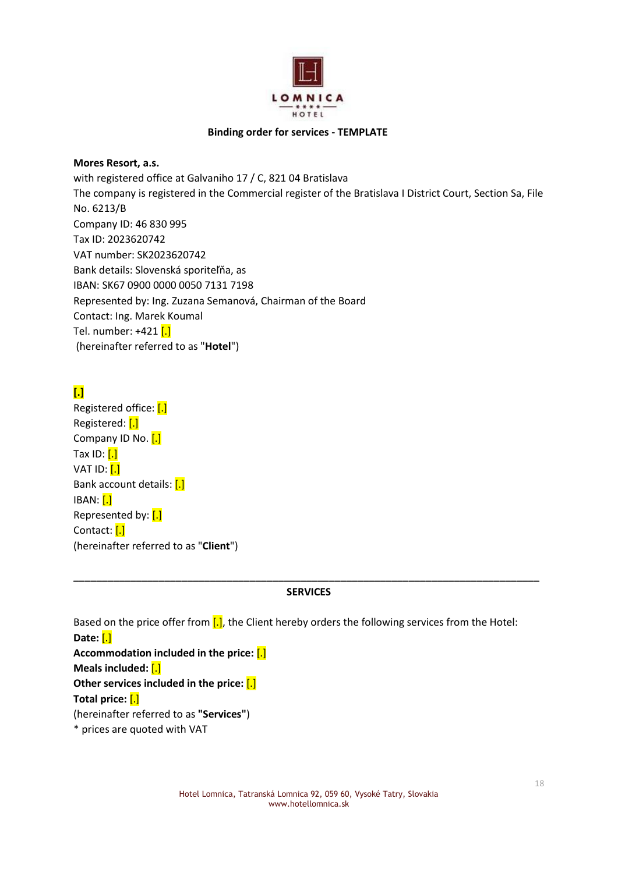

#### **Binding order for services - TEMPLATE**

**Mores Resort, a.s.** with registered office at Galvaniho 17 / C, 821 04 Bratislava The company is registered in the Commercial register of the Bratislava I District Court, Section Sa, File No. 6213/B Company ID: 46 830 995 Tax ID: 2023620742 VAT number: SK2023620742 Bank details: Slovenská sporiteľňa, as IBAN: SK67 0900 0000 0050 7131 7198 Represented by: Ing. Zuzana Semanová, Chairman of the Board Contact: Ing. Marek Koumal Tel. number: +421 [.] (hereinafter referred to as "**Hotel**")

# **[.]**

Registered office: [.] Registered: [.] Company ID No. [.] Tax ID:  $[.]$ VAT ID: [.] Bank account details: [.] IBAN: [.] Represented by: [.] Contact: [.] (hereinafter referred to as "**Client**")

### **\_\_\_\_\_\_\_\_\_\_\_\_\_\_\_\_\_\_\_\_\_\_\_\_\_\_\_\_\_\_\_\_\_\_\_\_\_\_\_\_\_\_\_\_\_\_\_\_\_\_\_\_\_\_\_\_\_\_\_\_\_\_\_\_\_\_\_\_\_\_\_\_\_\_\_\_\_\_\_\_\_\_ SERVICES**

Based on the price offer from  $\left[ . \right]$ , the Client hereby orders the following services from the Hotel: **Date:** [.] **Accommodation included in the price:** [.] **Meals included:** [.] **Other services included in the price:** [.] **Total price:** [.] (hereinafter referred to as **"Services"**)

\* prices are quoted with VAT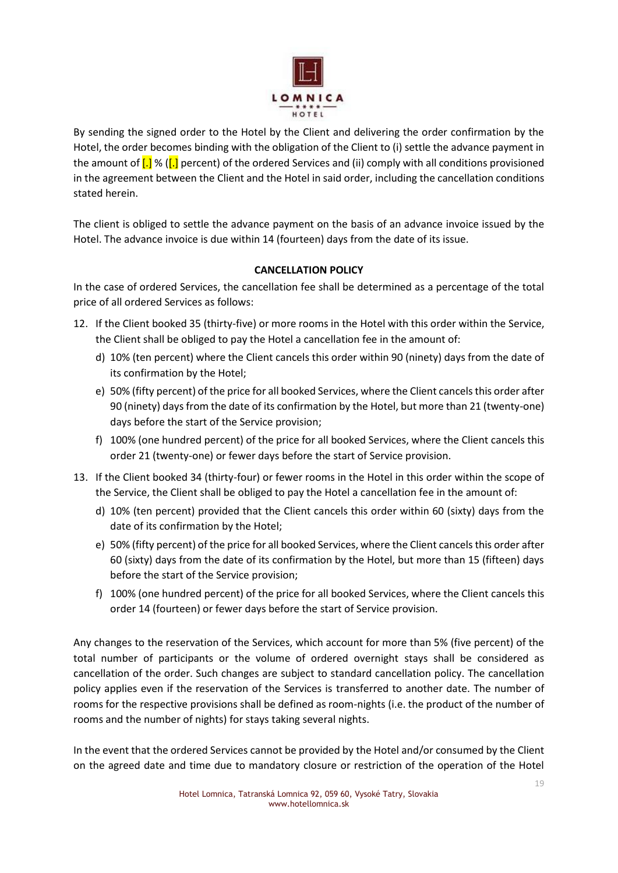

By sending the signed order to the Hotel by the Client and delivering the order confirmation by the Hotel, the order becomes binding with the obligation of the Client to (i) settle the advance payment in the amount of  $[.]$  % ( $[.]$  percent) of the ordered Services and (ii) comply with all conditions provisioned in the agreement between the Client and the Hotel in said order, including the cancellation conditions stated herein.

The client is obliged to settle the advance payment on the basis of an advance invoice issued by the Hotel. The advance invoice is due within 14 (fourteen) days from the date of its issue.

## **CANCELLATION POLICY**

In the case of ordered Services, the cancellation fee shall be determined as a percentage of the total price of all ordered Services as follows:

- 12. If the Client booked 35 (thirty-five) or more rooms in the Hotel with this order within the Service, the Client shall be obliged to pay the Hotel a cancellation fee in the amount of:
	- d) 10% (ten percent) where the Client cancels this order within 90 (ninety) days from the date of its confirmation by the Hotel;
	- e) 50% (fifty percent) of the price for all booked Services, where the Client cancels this order after 90 (ninety) days from the date of its confirmation by the Hotel, but more than 21 (twenty-one) days before the start of the Service provision;
	- f) 100% (one hundred percent) of the price for all booked Services, where the Client cancels this order 21 (twenty-one) or fewer days before the start of Service provision.
- 13. If the Client booked 34 (thirty-four) or fewer rooms in the Hotel in this order within the scope of the Service, the Client shall be obliged to pay the Hotel a cancellation fee in the amount of:
	- d) 10% (ten percent) provided that the Client cancels this order within 60 (sixty) days from the date of its confirmation by the Hotel;
	- e) 50% (fifty percent) of the price for all booked Services, where the Client cancels this order after 60 (sixty) days from the date of its confirmation by the Hotel, but more than 15 (fifteen) days before the start of the Service provision;
	- f) 100% (one hundred percent) of the price for all booked Services, where the Client cancels this order 14 (fourteen) or fewer days before the start of Service provision.

Any changes to the reservation of the Services, which account for more than 5% (five percent) of the total number of participants or the volume of ordered overnight stays shall be considered as cancellation of the order. Such changes are subject to standard cancellation policy. The cancellation policy applies even if the reservation of the Services is transferred to another date. The number of rooms for the respective provisions shall be defined as room-nights (i.e. the product of the number of rooms and the number of nights) for stays taking several nights.

In the event that the ordered Services cannot be provided by the Hotel and/or consumed by the Client on the agreed date and time due to mandatory closure or restriction of the operation of the Hotel